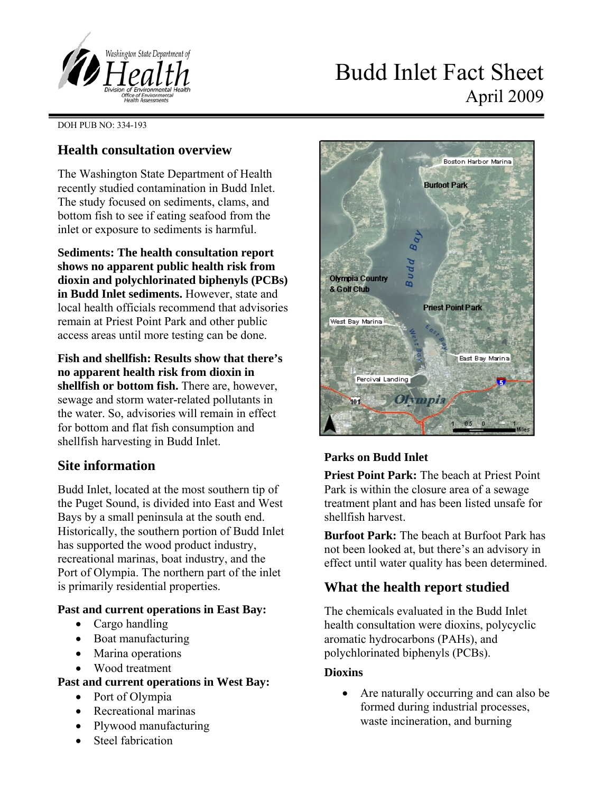

# Budd Inlet Fact Sheet April 2009

DOH PUB NO: 334-193

# **Health consultation overview**

The Washington State Department of Health recently studied contamination in Budd Inlet. The study focused on sediments, clams, and bottom fish to see if eating seafood from the inlet or exposure to sediments is harmful.

**Sediments: The health consultation report shows no apparent public health risk from dioxin and polychlorinated biphenyls (PCBs) in Budd Inlet sediments.** However, state and local health officials recommend that advisories remain at Priest Point Park and other public access areas until more testing can be done.

**Fish and shellfish: Results show that there's no apparent health risk from dioxin in shellfish or bottom fish.** There are, however, sewage and storm water-related pollutants in the water. So, advisories will remain in effect for bottom and flat fish consumption and shellfish harvesting in Budd Inlet.

# **Site information**

Budd Inlet, located at the most southern tip of the Puget Sound, is divided into East and West Bays by a small peninsula at the south end. Historically, the southern portion of Budd Inlet has supported the wood product industry, recreational marinas, boat industry, and the Port of Olympia. The northern part of the inlet is primarily residential properties.

#### **Past and current operations in East Bay:**

- Cargo handling
- Boat manufacturing
- Marina operations
- Wood treatment

## **Past and current operations in West Bay:**

- Port of Olympia
- Recreational marinas
- Plywood manufacturing
- Steel fabrication



# **Parks on Budd Inlet**

**Priest Point Park:** The beach at Priest Point Park is within the closure area of a sewage treatment plant and has been listed unsafe for shellfish harvest.

**Burfoot Park:** The beach at Burfoot Park has not been looked at, but there's an advisory in effect until water quality has been determined.

# **What the health report studied**

The chemicals evaluated in the Budd Inlet health consultation were dioxins, polycyclic aromatic hydrocarbons (PAHs), and polychlorinated biphenyls (PCBs).

## **Dioxins**

• Are naturally occurring and can also be formed during industrial processes, waste incineration, and burning